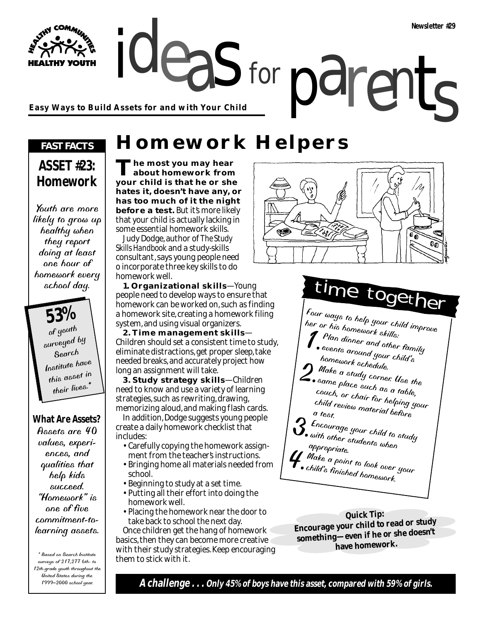ideas for parents **Easy Ways to Build Assets for and with Your Child**

### *FAST FACTS*

**HY YOUTH** 

## **ASSET #23: Homework**

Youth are more likely to grow up healthy when they report doing at least one hour of homework every school day.

> **53%** of youth surveyed by Search Institute have this asset in their lives.<sup>\*</sup>

### **What Are Assets?**

Assets are 40 values, experiences, and qualities that help kids succeed. "Homework" is one of five commitment-tolearning assets.

\* Based on Search Institute surveys of 217,277 6th- to 12th-grade youth throughout the United States during the 1999–2000 school year.

**Homework Helpers** 

for

**The most you may hear about homework from your child is that he or she hates it, doesn't have any, or has too much of it the night before a test.** But it's more likely that your child is actually lacking in some essential homework skills.

Judy Dodge, author of *The Study Skills Handbook* and a study-skills consultant, says young people need o incorporate three key skills to do homework well.

**1. Organizational skills**—Young people need to develop ways to ensure that homework can be worked on, such as finding a homework site, creating a homework filing system, and using visual organizers.

**2. Time management skills**— Children should set a consistent time to study, eliminate distractions, get proper sleep, take needed breaks, and accurately project how long an assignment will take.

**3. Study strategy skills**—Children need to know and use a variety of learning strategies, such as rewriting, drawing, memorizing aloud, and making flash cards. In addition, Dodge suggests young people create a daily homework checklist that includes:

- Carefully copying the homework assignment from the teacher's instructions.
- Bringing home all materials needed from school.
- Beginning to study at a set time.
- Putting all their effort into doing the homework well.
- Placing the homework near the door to take back to school the next day.

Once children get the hang of homework basics, then they can become more creative with their study strategies. Keep encouraging them to stick with it.



Four ways to help your child improve her or his homework skills: 1.Plan dinner and other family events around your child's homework schedule.  $2^{\frac{M_{\alpha\acute{e}}}{\alpha\acute{e}}\alpha}$  a study corner. Use the  $\sum$  same place such as a table, couch, or chair for helping your<br>child review material before<br>a test child review material before<br>a test, 3. Encourage your child to study<br>with other students when<br>a appropriate. *4. Make a point to look over your*<br>• child's finished to look over your child's finished homework. time together

**Quick Tip: Encourage your child to read or study something—even if he or she doesn't have homework.**

**A challenge . . . Only 45% of boys have this asset, compared with 59% of girls.**